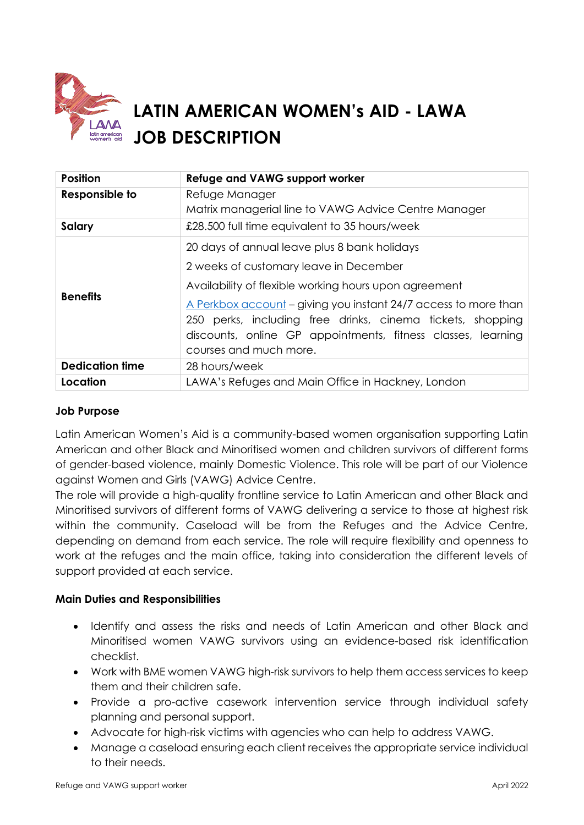

# **LATIN AMERICAN WOMEN's AID - LAWA JOB DESCRIPTION**

| <b>Position</b>        | Refuge and VAWG support worker                                                                                                                                                                                                                                                                                                                                             |
|------------------------|----------------------------------------------------------------------------------------------------------------------------------------------------------------------------------------------------------------------------------------------------------------------------------------------------------------------------------------------------------------------------|
| Responsible to         | Refuge Manager<br>Matrix managerial line to VAWG Advice Centre Manager                                                                                                                                                                                                                                                                                                     |
| Salary                 | £28.500 full time equivalent to 35 hours/week                                                                                                                                                                                                                                                                                                                              |
| <b>Benefits</b>        | 20 days of annual leave plus 8 bank holidays<br>2 weeks of customary leave in December<br>Availability of flexible working hours upon agreement<br>A Perkbox account - giving you instant 24/7 access to more than<br>250 perks, including free drinks, cinema tickets, shopping<br>discounts, online GP appointments, fitness classes, learning<br>courses and much more. |
| <b>Dedication time</b> | 28 hours/week                                                                                                                                                                                                                                                                                                                                                              |
| Location               | LAWA's Refuges and Main Office in Hackney, London                                                                                                                                                                                                                                                                                                                          |

## **Job Purpose**

Latin American Women's Aid is a community-based women organisation supporting Latin American and other Black and Minoritised women and children survivors of different forms of gender-based violence, mainly Domestic Violence. This role will be part of our Violence against Women and Girls (VAWG) Advice Centre.

The role will provide a high-quality frontline service to Latin American and other Black and Minoritised survivors of different forms of VAWG delivering a service to those at highest risk within the community. Caseload will be from the Refuges and the Advice Centre, depending on demand from each service. The role will require flexibility and openness to work at the refuges and the main office, taking into consideration the different levels of support provided at each service.

### **Main Duties and Responsibilities**

- Identify and assess the risks and needs of Latin American and other Black and Minoritised women VAWG survivors using an evidence-based risk identification checklist.
- Work with BME women VAWG high-risk survivors to help them access services to keep them and their children safe.
- Provide a pro-active casework intervention service through individual safety planning and personal support.
- Advocate for high-risk victims with agencies who can help to address VAWG.
- Manage a caseload ensuring each client receives the appropriate service individual to their needs.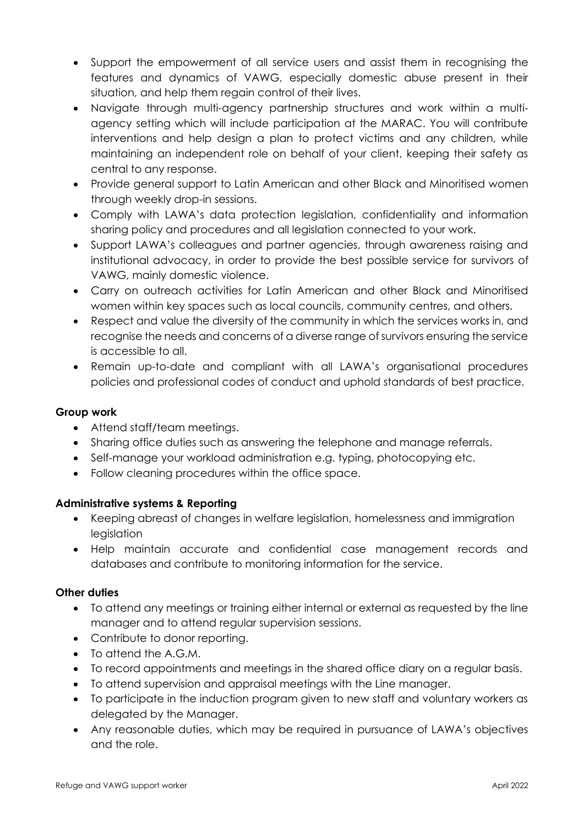- Support the empowerment of all service users and assist them in recognising the features and dynamics of VAWG, especially domestic abuse present in their situation, and help them regain control of their lives.
- Navigate through multi-agency partnership structures and work within a multiagency setting which will include participation at the MARAC. You will contribute interventions and help design a plan to protect victims and any children, while maintaining an independent role on behalf of your client, keeping their safety as central to any response.
- Provide general support to Latin American and other Black and Minoritised women through weekly drop-in sessions.
- Comply with LAWA's data protection legislation, confidentiality and information sharing policy and procedures and all legislation connected to your work.
- Support LAWA's colleagues and partner agencies, through awareness raising and institutional advocacy, in order to provide the best possible service for survivors of VAWG, mainly domestic violence.
- Carry on outreach activities for Latin American and other Black and Minoritised women within key spaces such as local councils, community centres, and others.
- Respect and value the diversity of the community in which the services works in, and recognise the needs and concerns of a diverse range of survivors ensuring the service is accessible to all.
- Remain up-to-date and compliant with all LAWA's organisational procedures policies and professional codes of conduct and uphold standards of best practice.

## **Group work**

- Attend staff/team meetings.
- Sharing office duties such as answering the telephone and manage referrals.
- Self-manage your workload administration e.g. typing, photocopying etc.
- Follow cleaning procedures within the office space.

## **Administrative systems & Reporting**

- Keeping abreast of changes in welfare legislation, homelessness and immigration legislation
- Help maintain accurate and confidential case management records and databases and contribute to monitoring information for the service.

### **Other duties**

- To attend any meetings or training either internal or external as requested by the line manager and to attend regular supervision sessions.
- Contribute to donor reporting.
- To attend the A.G.M.
- To record appointments and meetings in the shared office diary on a regular basis.
- To attend supervision and appraisal meetings with the Line manager.
- To participate in the induction program given to new staff and voluntary workers as delegated by the Manager.
- Any reasonable duties, which may be required in pursuance of LAWA's objectives and the role.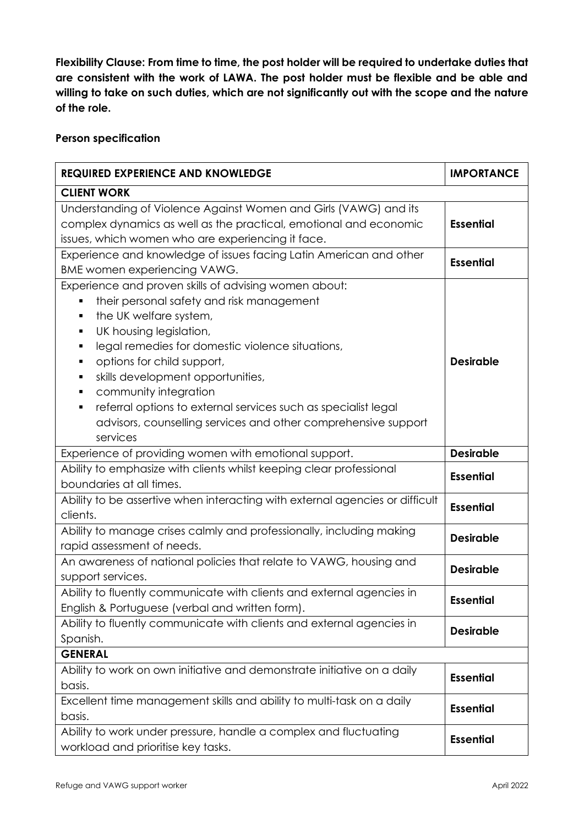**Flexibility Clause: From time to time, the post holder will be required to undertake duties that are consistent with the work of LAWA. The post holder must be flexible and be able and willing to take on such duties, which are not significantly out with the scope and the nature of the role.**

#### **Person specification**

| <b>REQUIRED EXPERIENCE AND KNOWLEDGE</b>                                                                                                                                                                                                                                                                                                                                                                                                                                                                     | <b>IMPORTANCE</b> |  |  |
|--------------------------------------------------------------------------------------------------------------------------------------------------------------------------------------------------------------------------------------------------------------------------------------------------------------------------------------------------------------------------------------------------------------------------------------------------------------------------------------------------------------|-------------------|--|--|
| <b>CLIENT WORK</b>                                                                                                                                                                                                                                                                                                                                                                                                                                                                                           |                   |  |  |
| Understanding of Violence Against Women and Girls (VAWG) and its<br>complex dynamics as well as the practical, emotional and economic<br>issues, which women who are experiencing it face.                                                                                                                                                                                                                                                                                                                   | <b>Essential</b>  |  |  |
| Experience and knowledge of issues facing Latin American and other                                                                                                                                                                                                                                                                                                                                                                                                                                           | <b>Essential</b>  |  |  |
| BME women experiencing VAWG.                                                                                                                                                                                                                                                                                                                                                                                                                                                                                 |                   |  |  |
| Experience and proven skills of advising women about:<br>their personal safety and risk management<br>П<br>the UK welfare system,<br>$\blacksquare$<br>UK housing legislation,<br>٠<br>legal remedies for domestic violence situations,<br>٠<br>options for child support,<br>Ξ<br>skills development opportunities,<br>٠<br>community integration<br>п<br>referral options to external services such as specialist legal<br>Ξ<br>advisors, counselling services and other comprehensive support<br>services | <b>Desirable</b>  |  |  |
| Experience of providing women with emotional support.                                                                                                                                                                                                                                                                                                                                                                                                                                                        | <b>Desirable</b>  |  |  |
| Ability to emphasize with clients whilst keeping clear professional<br>boundaries at all times.                                                                                                                                                                                                                                                                                                                                                                                                              | <b>Essential</b>  |  |  |
| Ability to be assertive when interacting with external agencies or difficult<br>clients.                                                                                                                                                                                                                                                                                                                                                                                                                     | <b>Essential</b>  |  |  |
| Ability to manage crises calmly and professionally, including making<br>rapid assessment of needs.                                                                                                                                                                                                                                                                                                                                                                                                           | <b>Desirable</b>  |  |  |
| An awareness of national policies that relate to VAWG, housing and<br>support services.                                                                                                                                                                                                                                                                                                                                                                                                                      | <b>Desirable</b>  |  |  |
| Ability to fluently communicate with clients and external agencies in<br>English & Portuguese (verbal and written form).                                                                                                                                                                                                                                                                                                                                                                                     | <b>Essential</b>  |  |  |
| Ability to fluently communicate with clients and external agencies in<br>Spanish.                                                                                                                                                                                                                                                                                                                                                                                                                            | <b>Desirable</b>  |  |  |
| <b>GENERAL</b>                                                                                                                                                                                                                                                                                                                                                                                                                                                                                               |                   |  |  |
| Ability to work on own initiative and demonstrate initiative on a daily<br>basis.                                                                                                                                                                                                                                                                                                                                                                                                                            | <b>Essential</b>  |  |  |
| Excellent time management skills and ability to multi-task on a daily<br>basis.                                                                                                                                                                                                                                                                                                                                                                                                                              | <b>Essential</b>  |  |  |
| Ability to work under pressure, handle a complex and fluctuating<br>workload and prioritise key tasks.                                                                                                                                                                                                                                                                                                                                                                                                       | <b>Essential</b>  |  |  |